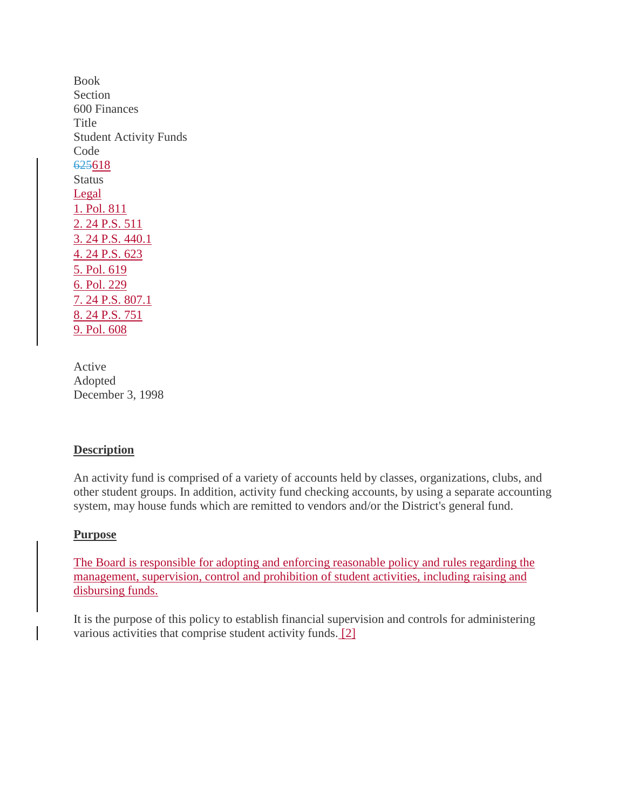Book Section 600 Finances Title Student Activity Funds Code 625618 **Status** Legal 1. Pol. 811 [2. 24 P.S. 511](http://www.legis.state.pa.us/cfdocs/legis/LI/uconsCheck.cfm?txtType=HTM&yr=1949&sessInd=0&smthLwInd=0&act=14&chpt=5&sctn=11&subsctn=0) [3. 24 P.S. 440.1](http://www.legis.state.pa.us/cfdocs/legis/LI/uconsCheck.cfm?txtType=HTM&yr=1949&sessInd=0&smthLwInd=0&act=14&chpt=4&sctn=40&subsctn=1) [4. 24 P.S. 623](http://www.legis.state.pa.us/cfdocs/legis/LI/uconsCheck.cfm?txtType=HTM&yr=1949&sessInd=0&smthLwInd=0&act=14&chpt=6&sctn=23&subsctn=0) 5. Pol. 619 6. Pol. 229 [7. 24 P.S. 807.1](http://www.legis.state.pa.us/cfdocs/legis/LI/uconsCheck.cfm?txtType=HTM&yr=1949&sessInd=0&smthLwInd=0&act=14&chpt=8&sctn=7&subsctn=1) [8. 24 P.S. 751](http://www.legis.state.pa.us/cfdocs/legis/LI/uconsCheck.cfm?txtType=HTM&yr=1949&sessInd=0&smthLwInd=0&act=14&chpt=7&sctn=51&subsctn=0) 9. Pol. 608

Active Adopted December 3, 1998

#### **Description**

An activity fund is comprised of a variety of accounts held by classes, organizations, clubs, and other student groups. In addition, activity fund checking accounts, by using a separate accounting system, may house funds which are remitted to vendors and/or the District's general fund.

#### **Purpose**

The Board is responsible for adopting and enforcing reasonable policy and rules regarding the management, supervision, control and prohibition of student activities, including raising and disbursing funds.

It is the purpose of this policy to establish financial supervision and controls for administering various activities that comprise student activity funds. [2]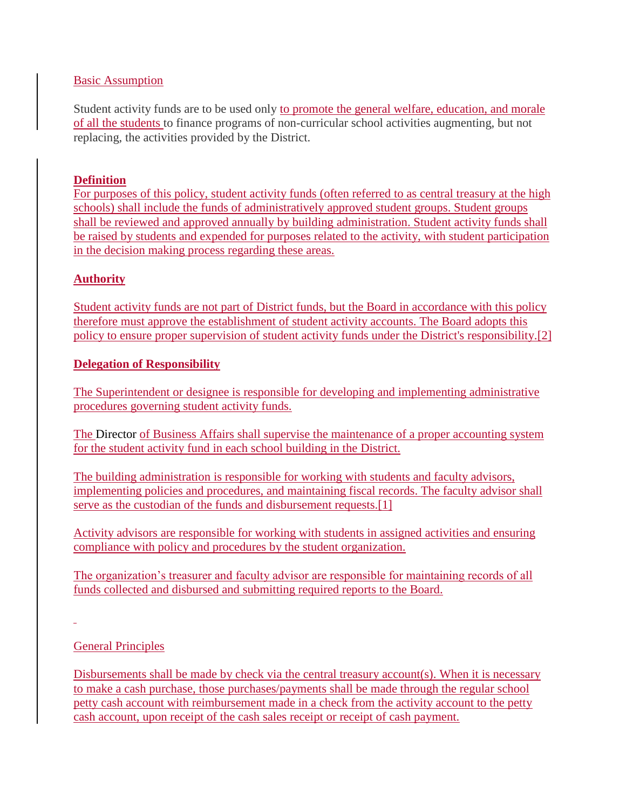#### Basic Assumption

Student activity funds are to be used only to promote the general welfare, education, and morale of all the students to finance programs of non-curricular school activities augmenting, but not replacing, the activities provided by the District.

#### **Definition**

For purposes of this policy, student activity funds (often referred to as central treasury at the high schools) shall include the funds of administratively approved student groups. Student groups shall be reviewed and approved annually by building administration. Student activity funds shall be raised by students and expended for purposes related to the activity, with student participation in the decision making process regarding these areas.

## **Authority**

Student activity funds are not part of District funds, but the Board in accordance with this policy therefore must approve the establishment of student activity accounts. The Board adopts this policy to ensure proper supervision of student activity funds under the District's responsibility[.\[2\]](http://www.legis.state.pa.us/cfdocs/legis/LI/uconsCheck.cfm?txtType=HTM&yr=1949&sessInd=0&smthLwInd=0&act=14&chpt=5&sctn=11&subsctn=0)

#### **Delegation of Responsibility**

The Superintendent or designee is responsible for developing and implementing administrative procedures governing student activity funds.

The Director of Business Affairs shall supervise the maintenance of a proper accounting system for the student activity fund in each school building in the District.

The building administration is responsible for working with students and faculty advisors, implementing policies and procedures, and maintaining fiscal records. The faculty advisor shall serve as the custodian of the funds and disbursement requests.<sup>[1]</sup>

Activity advisors are responsible for working with students in assigned activities and ensuring compliance with policy and procedures by the student organization.

The organization's treasurer and faculty advisor are responsible for maintaining records of all funds collected and disbursed and submitting required reports to the Board.

## General Principles

Disbursements shall be made by check via the central treasury account(s). When it is necessary to make a cash purchase, those purchases/payments shall be made through the regular school petty cash account with reimbursement made in a check from the activity account to the petty cash account, upon receipt of the cash sales receipt or receipt of cash payment.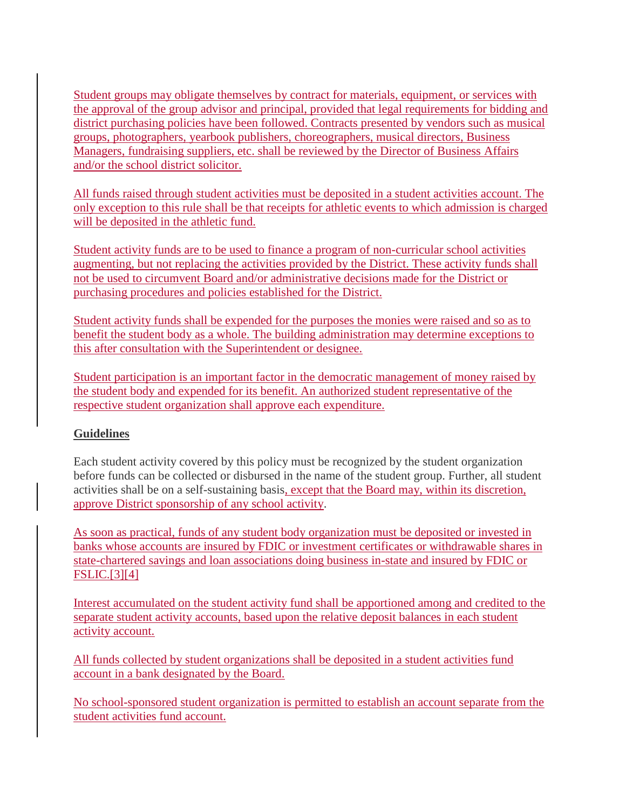Student groups may obligate themselves by contract for materials, equipment, or services with the approval of the group advisor and principal, provided that legal requirements for bidding and district purchasing policies have been followed. Contracts presented by vendors such as musical groups, photographers, yearbook publishers, choreographers, musical directors, Business Managers, fundraising suppliers, etc. shall be reviewed by the Director of Business Affairs and/or the school district solicitor.

All funds raised through student activities must be deposited in a student activities account. The only exception to this rule shall be that receipts for athletic events to which admission is charged will be deposited in the athletic fund.

Student activity funds are to be used to finance a program of non-curricular school activities augmenting, but not replacing the activities provided by the District. These activity funds shall not be used to circumvent Board and/or administrative decisions made for the District or purchasing procedures and policies established for the District.

Student activity funds shall be expended for the purposes the monies were raised and so as to benefit the student body as a whole. The building administration may determine exceptions to this after consultation with the Superintendent or designee.

Student participation is an important factor in the democratic management of money raised by the student body and expended for its benefit. An authorized student representative of the respective student organization shall approve each expenditure.

# **Guidelines**

Each student activity covered by this policy must be recognized by the student organization before funds can be collected or disbursed in the name of the student group. Further, all student activities shall be on a self-sustaining basis, except that the Board may, within its discretion, approve District sponsorship of any school activity.

As soon as practical, funds of any student body organization must be deposited or invested in banks whose accounts are insured by FDIC or investment certificates or withdrawable shares in state-chartered savings and loan associations doing business in-state and insured by FDIC or FSLIC[.\[3\]\[4\]](http://www.legis.state.pa.us/cfdocs/legis/LI/uconsCheck.cfm?txtType=HTM&yr=1949&sessInd=0&smthLwInd=0&act=14&chpt=4&sctn=40&subsctn=1)

Interest accumulated on the student activity fund shall be apportioned among and credited to the separate student activity accounts, based upon the relative deposit balances in each student activity account.

All funds collected by student organizations shall be deposited in a student activities fund account in a bank designated by the Board.

No school-sponsored student organization is permitted to establish an account separate from the student activities fund account.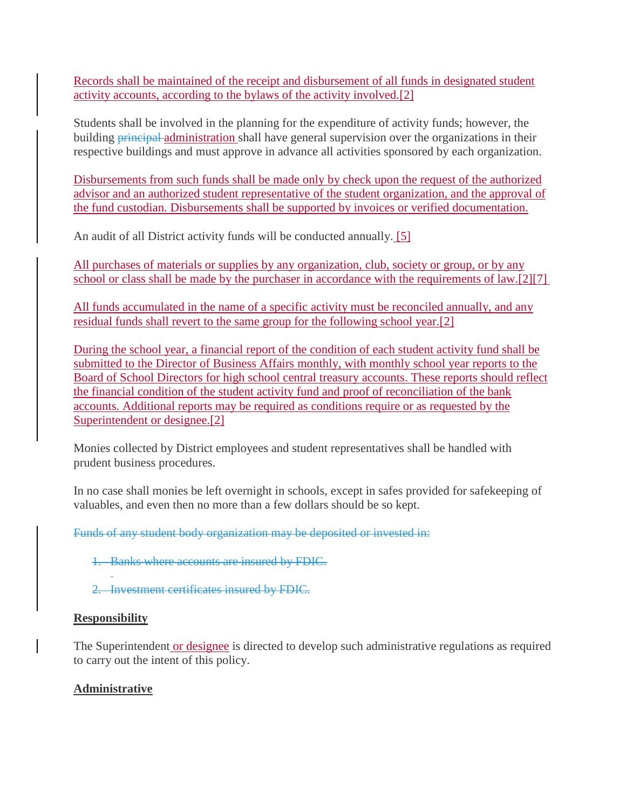Records shall be maintained of the receipt and disbursement of all funds in designated student activity accounts, according to the bylaws of the activity involved[.\[2\]](http://www.legis.state.pa.us/cfdocs/legis/LI/uconsCheck.cfm?txtType=HTM&yr=1949&sessInd=0&smthLwInd=0&act=14&chpt=5&sctn=11&subsctn=0)

Students shall be involved in the planning for the expenditure of activity funds; however, the building **principal** administration shall have general supervision over the organizations in their respective buildings and must approve in advance all activities sponsored by each organization.

Disbursements from such funds shall be made only by check upon the request of the authorized advisor and an authorized student representative of the student organization, and the approval of the fund custodian. Disbursements shall be supported by invoices or verified documentation.

An audit of all District activity funds will be conducted annually. [5]

All purchases of materials or supplies by any organization, club, society or group, or by any school or class shall be made by the purchaser in accordance with the requirements of law[.\[2\]\[7\]](http://www.legis.state.pa.us/cfdocs/legis/LI/uconsCheck.cfm?txtType=HTM&yr=1949&sessInd=0&smthLwInd=0&act=14&chpt=5&sctn=11&subsctn=0)

All funds accumulated in the name of a specific activity must be reconciled annually, and any residual funds shall revert to the same group for the following school year[.\[2\]](http://www.legis.state.pa.us/cfdocs/legis/LI/uconsCheck.cfm?txtType=HTM&yr=1949&sessInd=0&smthLwInd=0&act=14&chpt=5&sctn=11&subsctn=0)

During the school year, a financial report of the condition of each student activity fund shall be submitted to the Director of Business Affairs monthly, with monthly school year reports to the Board of School Directors for high school central treasury accounts. These reports should reflect the financial condition of the student activity fund and proof of reconciliation of the bank accounts. Additional reports may be required as conditions require or as requested by the Superintendent or designee[.\[2\]](http://www.legis.state.pa.us/cfdocs/legis/LI/uconsCheck.cfm?txtType=HTM&yr=1949&sessInd=0&smthLwInd=0&act=14&chpt=5&sctn=11&subsctn=0)

Monies collected by District employees and student representatives shall be handled with prudent business procedures.

In no case shall monies be left overnight in schools, except in safes provided for safekeeping of valuables, and even then no more than a few dollars should be so kept.

Funds of any student body organization may be deposited or invested in:

- 1. Banks where accounts are insured by FDIC.
- 2. Investment certificates insured by FDIC.

## **Responsibility**

The Superintendent or designee is directed to develop such administrative regulations as required to carry out the intent of this policy.

# **Administrative**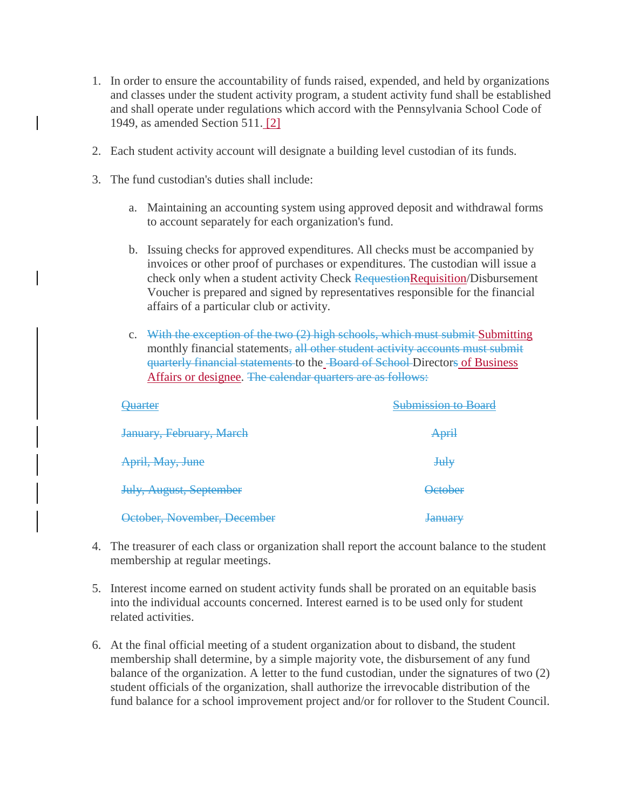- 1. In order to ensure the accountability of funds raised, expended, and held by organizations and classes under the student activity program, a student activity fund shall be established and shall operate under regulations which accord with the Pennsylvania School Code of 1949, as amended Section 511. [2]
- 2. Each student activity account will designate a building level custodian of its funds.
- 3. The fund custodian's duties shall include:
	- a. Maintaining an accounting system using approved deposit and withdrawal forms to account separately for each organization's fund.
	- b. Issuing checks for approved expenditures. All checks must be accompanied by invoices or other proof of purchases or expenditures. The custodian will issue a check only when a student activity Check RequestionRequisition/Disbursement Voucher is prepared and signed by representatives responsible for the financial affairs of a particular club or activity.
	- c. With the exception of the two (2) high schools, which must submit Submitting monthly financial statements, all other student activity accounts must submit quarterly financial statements to the Board of School Directors of Business Affairs or designee. The calendar quarters are as follows:

| <b>Ouarter</b>                 | <b>Submission to Board</b>        |
|--------------------------------|-----------------------------------|
| January, February, March       | <b>April</b>                      |
| April, May, June               | $Ju$ <sup><math>\psi</math></sup> |
| <b>July, August, September</b> | <b>October</b>                    |
| October, November, December    | <b>January</b>                    |

- 4. The treasurer of each class or organization shall report the account balance to the student membership at regular meetings.
- 5. Interest income earned on student activity funds shall be prorated on an equitable basis into the individual accounts concerned. Interest earned is to be used only for student related activities.
- 6. At the final official meeting of a student organization about to disband, the student membership shall determine, by a simple majority vote, the disbursement of any fund balance of the organization. A letter to the fund custodian, under the signatures of two (2) student officials of the organization, shall authorize the irrevocable distribution of the fund balance for a school improvement project and/or for rollover to the Student Council.